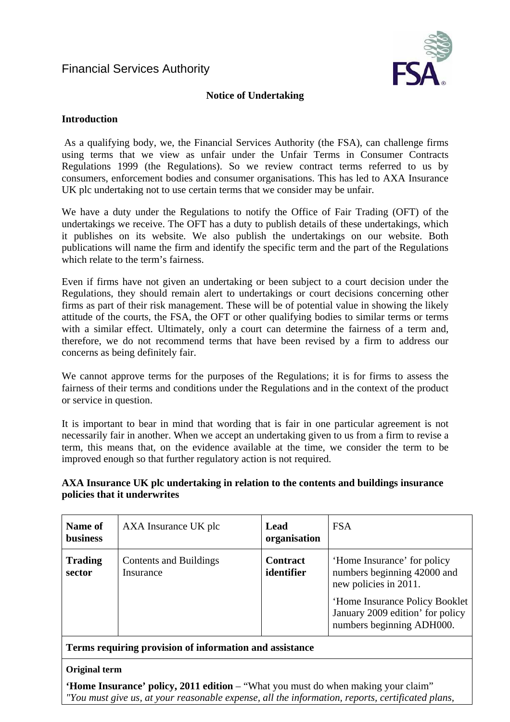# Financial Services Authority



#### **Notice of Undertaking**

#### **Introduction**

 As a qualifying body, we, the Financial Services Authority (the FSA), can challenge firms using terms that we view as unfair under the Unfair Terms in Consumer Contracts Regulations 1999 (the Regulations). So we review contract terms referred to us by consumers, enforcement bodies and consumer organisations. This has led to AXA Insurance UK plc undertaking not to use certain terms that we consider may be unfair.

We have a duty under the Regulations to notify the Office of Fair Trading (OFT) of the undertakings we receive. The OFT has a duty to publish details of these undertakings, which it publishes on its website. We also publish the undertakings on our website. Both publications will name the firm and identify the specific term and the part of the Regulations which relate to the term's fairness.

Even if firms have not given an undertaking or been subject to a court decision under the Regulations, they should remain alert to undertakings or court decisions concerning other firms as part of their risk management. These will be of potential value in showing the likely attitude of the courts, the FSA, the OFT or other qualifying bodies to similar terms or terms with a similar effect. Ultimately, only a court can determine the fairness of a term and, therefore, we do not recommend terms that have been revised by a firm to address our concerns as being definitely fair.

We cannot approve terms for the purposes of the Regulations; it is for firms to assess the fairness of their terms and conditions under the Regulations and in the context of the product or service in question.

It is important to bear in mind that wording that is fair in one particular agreement is not necessarily fair in another. When we accept an undertaking given to us from a firm to revise a term, this means that, on the evidence available at the time, we consider the term to be improved enough so that further regulatory action is not required.

## **AXA Insurance UK plc undertaking in relation to the contents and buildings insurance policies that it underwrites**

| Name of<br><b>business</b> | AXA Insurance UK plc                       | Lead<br>organisation          | <b>FSA</b>                                                                                                                                                                             |
|----------------------------|--------------------------------------------|-------------------------------|----------------------------------------------------------------------------------------------------------------------------------------------------------------------------------------|
| <b>Trading</b><br>sector   | <b>Contents and Buildings</b><br>Insurance | <b>Contract</b><br>identifier | 'Home Insurance' for policy<br>numbers beginning 42000 and<br>new policies in 2011.<br>'Home Insurance Policy Booklet<br>January 2009 edition' for policy<br>numbers beginning ADH000. |

**Terms requiring provision of information and assistance** 

#### **Original term**

**'Home Insurance' policy, 2011 edition** – "What you must do when making your claim" *"You must give us, at your reasonable expense, all the information, reports, certificated plans,*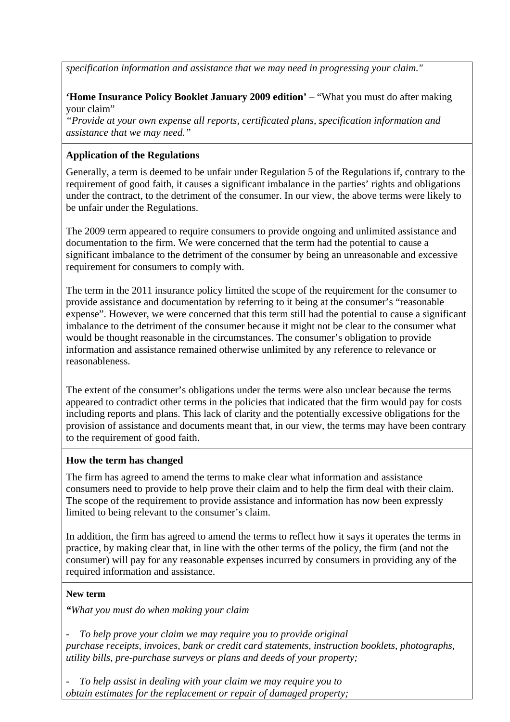*specification information and assistance that we may need in progressing your claim."* 

## **'Home Insurance Policy Booklet January 2009 edition'** – "What you must do after making your claim"

*"Provide at your own expense all reports, certificated plans, specification information and assistance that we may need."* 

## **Application of the Regulations**

Generally, a term is deemed to be unfair under Regulation 5 of the Regulations if, contrary to the requirement of good faith, it causes a significant imbalance in the parties' rights and obligations under the contract, to the detriment of the consumer. In our view, the above terms were likely to be unfair under the Regulations.

The 2009 term appeared to require consumers to provide ongoing and unlimited assistance and documentation to the firm. We were concerned that the term had the potential to cause a significant imbalance to the detriment of the consumer by being an unreasonable and excessive requirement for consumers to comply with.

The term in the 2011 insurance policy limited the scope of the requirement for the consumer to provide assistance and documentation by referring to it being at the consumer's "reasonable expense". However, we were concerned that this term still had the potential to cause a significant imbalance to the detriment of the consumer because it might not be clear to the consumer what would be thought reasonable in the circumstances. The consumer's obligation to provide information and assistance remained otherwise unlimited by any reference to relevance or reasonableness.

The extent of the consumer's obligations under the terms were also unclear because the terms appeared to contradict other terms in the policies that indicated that the firm would pay for costs including reports and plans. This lack of clarity and the potentially excessive obligations for the provision of assistance and documents meant that, in our view, the terms may have been contrary to the requirement of good faith.

## **How the term has changed**

The firm has agreed to amend the terms to make clear what information and assistance consumers need to provide to help prove their claim and to help the firm deal with their claim. The scope of the requirement to provide assistance and information has now been expressly limited to being relevant to the consumer's claim.

In addition, the firm has agreed to amend the terms to reflect how it says it operates the terms in practice, by making clear that, in line with the other terms of the policy, the firm (and not the consumer) will pay for any reasonable expenses incurred by consumers in providing any of the required information and assistance.

## **New term**

*"What you must do when making your claim* 

*- To help prove your claim we may require you to provide original purchase receipts, invoices, bank or credit card statements, instruction booklets, photographs, utility bills, pre-purchase surveys or plans and deeds of your property;* 

*- To help assist in dealing with your claim we may require you to obtain estimates for the replacement or repair of damaged property;*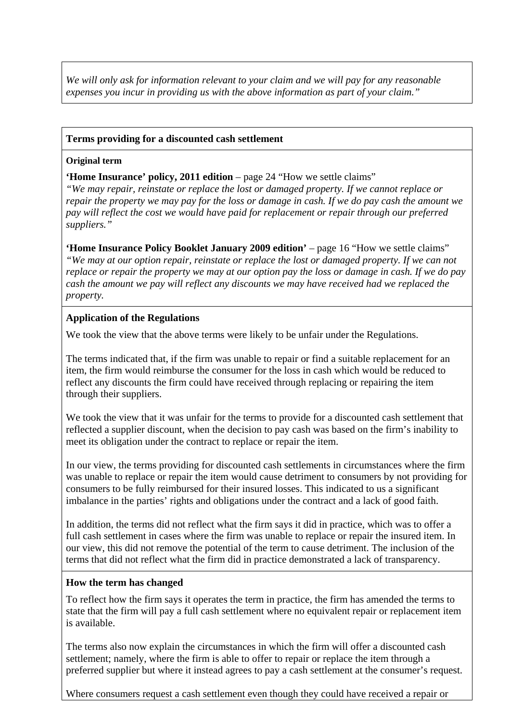*We will only ask for information relevant to your claim and we will pay for any reasonable expenses you incur in providing us with the above information as part of your claim."* 

### **Terms providing for a discounted cash settlement**

#### **Original term**

**'Home Insurance' policy, 2011 edition** – page 24 "How we settle claims"

*"We may repair, reinstate or replace the lost or damaged property. If we cannot replace or repair the property we may pay for the loss or damage in cash. If we do pay cash the amount we pay will reflect the cost we would have paid for replacement or repair through our preferred suppliers."* 

**'Home Insurance Policy Booklet January 2009 edition'** – page 16 "How we settle claims" *"We may at our option repair, reinstate or replace the lost or damaged property. If we can not replace or repair the property we may at our option pay the loss or damage in cash. If we do pay cash the amount we pay will reflect any discounts we may have received had we replaced the property.* 

### **Application of the Regulations**

We took the view that the above terms were likely to be unfair under the Regulations.

The terms indicated that, if the firm was unable to repair or find a suitable replacement for an item, the firm would reimburse the consumer for the loss in cash which would be reduced to reflect any discounts the firm could have received through replacing or repairing the item through their suppliers.

We took the view that it was unfair for the terms to provide for a discounted cash settlement that reflected a supplier discount, when the decision to pay cash was based on the firm's inability to meet its obligation under the contract to replace or repair the item.

In our view, the terms providing for discounted cash settlements in circumstances where the firm was unable to replace or repair the item would cause detriment to consumers by not providing for consumers to be fully reimbursed for their insured losses. This indicated to us a significant imbalance in the parties' rights and obligations under the contract and a lack of good faith.

In addition, the terms did not reflect what the firm says it did in practice, which was to offer a full cash settlement in cases where the firm was unable to replace or repair the insured item. In our view, this did not remove the potential of the term to cause detriment. The inclusion of the terms that did not reflect what the firm did in practice demonstrated a lack of transparency.

#### **How the term has changed**

To reflect how the firm says it operates the term in practice, the firm has amended the terms to state that the firm will pay a full cash settlement where no equivalent repair or replacement item is available.

The terms also now explain the circumstances in which the firm will offer a discounted cash settlement; namely, where the firm is able to offer to repair or replace the item through a preferred supplier but where it instead agrees to pay a cash settlement at the consumer's request.

Where consumers request a cash settlement even though they could have received a repair or